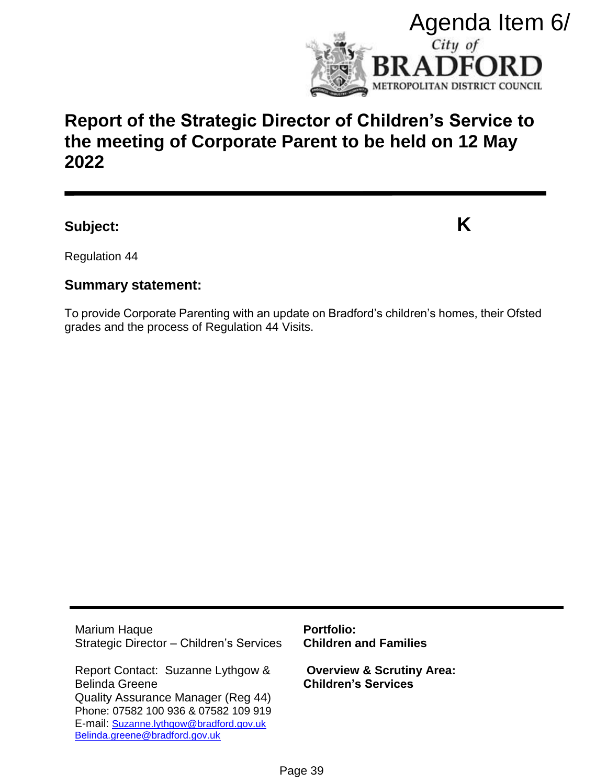

# **Report of the Strategic Director of Children's Service to the meeting of Corporate Parent to be held on 12 May 2022**

# **Subject: K**

Regulation 44

## **Summary statement:**

To provide Corporate Parenting with an update on Bradford's children's homes, their Ofsted grades and the process of Regulation 44 Visits.

Marium Haque Strategic Director – Children's Services

Report Contact: Suzanne Lythgow & Belinda Greene Quality Assurance Manager (Reg 44) Phone: 07582 100 936 & 07582 109 919 E-mail: [Suzanne.lythgow@bradford.gov.uk](mailto:Suzanne.lythgow@bradford.gov.uk) Belinda.greene@bradford.gov.uk

**Portfolio: Children and Families**

**Overview & Scrutiny Area: Children's Services**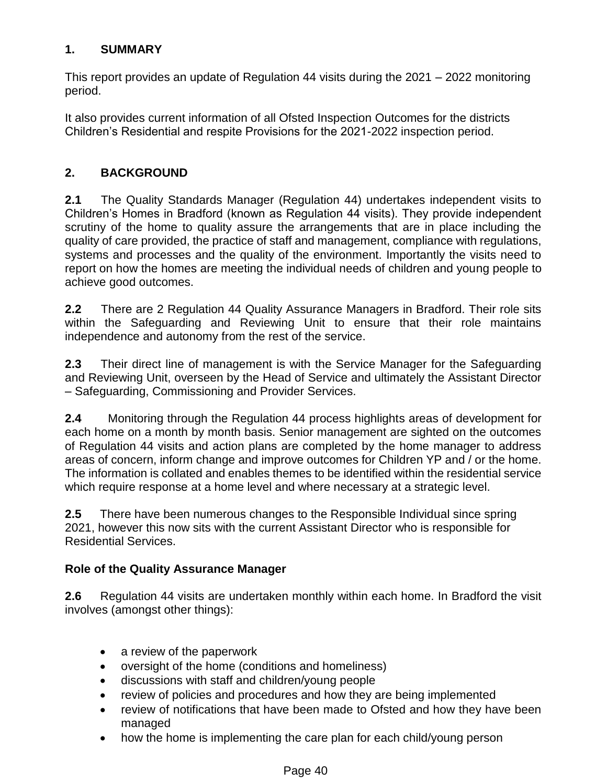## **1. SUMMARY**

This report provides an update of Regulation 44 visits during the 2021 – 2022 monitoring period.

It also provides current information of all Ofsted Inspection Outcomes for the districts Children's Residential and respite Provisions for the 2021-2022 inspection period.

## **2. BACKGROUND**

**2.1** The Quality Standards Manager (Regulation 44) undertakes independent visits to Children's Homes in Bradford (known as Regulation 44 visits). They provide independent scrutiny of the home to quality assure the arrangements that are in place including the quality of care provided, the practice of staff and management, compliance with regulations, systems and processes and the quality of the environment. Importantly the visits need to report on how the homes are meeting the individual needs of children and young people to achieve good outcomes.

**2.2** There are 2 Regulation 44 Quality Assurance Managers in Bradford. Their role sits within the Safeguarding and Reviewing Unit to ensure that their role maintains independence and autonomy from the rest of the service.

**2.3** Their direct line of management is with the Service Manager for the Safeguarding and Reviewing Unit, overseen by the Head of Service and ultimately the Assistant Director – Safeguarding, Commissioning and Provider Services.

**2.4** Monitoring through the Regulation 44 process highlights areas of development for each home on a month by month basis. Senior management are sighted on the outcomes of Regulation 44 visits and action plans are completed by the home manager to address areas of concern, inform change and improve outcomes for Children YP and / or the home. The information is collated and enables themes to be identified within the residential service which require response at a home level and where necessary at a strategic level.

**2.5** There have been numerous changes to the Responsible Individual since spring 2021, however this now sits with the current Assistant Director who is responsible for Residential Services.

## **Role of the Quality Assurance Manager**

**2.6** Regulation 44 visits are undertaken monthly within each home. In Bradford the visit involves (amongst other things):

- a review of the paperwork
- oversight of the home (conditions and homeliness)
- discussions with staff and children/young people
- review of policies and procedures and how they are being implemented
- review of notifications that have been made to Ofsted and how they have been managed
- how the home is implementing the care plan for each child/young person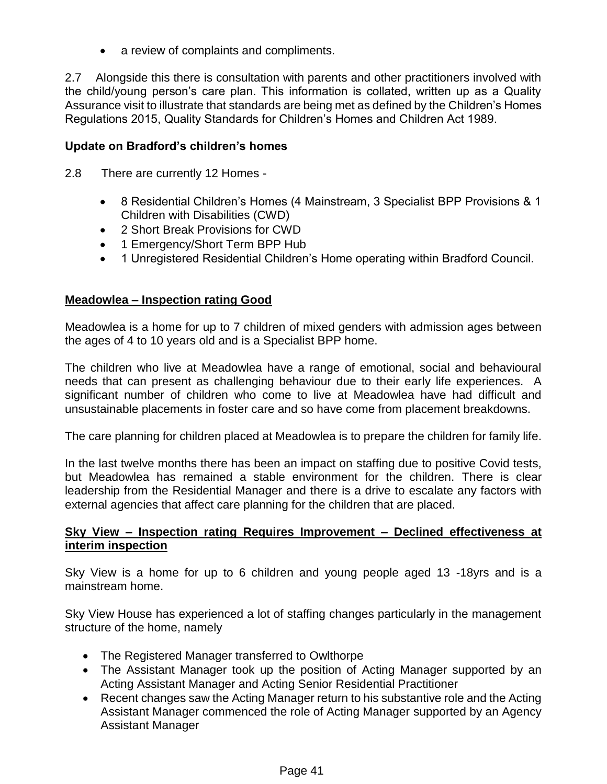• a review of complaints and compliments.

2.7 Alongside this there is consultation with parents and other practitioners involved with the child/young person's care plan. This information is collated, written up as a Quality Assurance visit to illustrate that standards are being met as defined by the Children's Homes Regulations 2015, Quality Standards for Children's Homes and Children Act 1989.

### **Update on Bradford's children's homes**

- 2.8 There are currently 12 Homes
	- 8 Residential Children's Homes (4 Mainstream, 3 Specialist BPP Provisions & 1 Children with Disabilities (CWD)
	- 2 Short Break Provisions for CWD
	- 1 Emergency/Short Term BPP Hub
	- 1 Unregistered Residential Children's Home operating within Bradford Council.

#### **Meadowlea – Inspection rating Good**

Meadowlea is a home for up to 7 children of mixed genders with admission ages between the ages of 4 to 10 years old and is a Specialist BPP home.

The children who live at Meadowlea have a range of emotional, social and behavioural needs that can present as challenging behaviour due to their early life experiences. A significant number of children who come to live at Meadowlea have had difficult and unsustainable placements in foster care and so have come from placement breakdowns.

The care planning for children placed at Meadowlea is to prepare the children for family life.

In the last twelve months there has been an impact on staffing due to positive Covid tests, but Meadowlea has remained a stable environment for the children. There is clear leadership from the Residential Manager and there is a drive to escalate any factors with external agencies that affect care planning for the children that are placed.

#### **Sky View – Inspection rating Requires Improvement – Declined effectiveness at interim inspection**

Sky View is a home for up to 6 children and young people aged 13 -18yrs and is a mainstream home.

Sky View House has experienced a lot of staffing changes particularly in the management structure of the home, namely

- The Registered Manager transferred to Owlthorpe
- The Assistant Manager took up the position of Acting Manager supported by an Acting Assistant Manager and Acting Senior Residential Practitioner
- Recent changes saw the Acting Manager return to his substantive role and the Acting Assistant Manager commenced the role of Acting Manager supported by an Agency Assistant Manager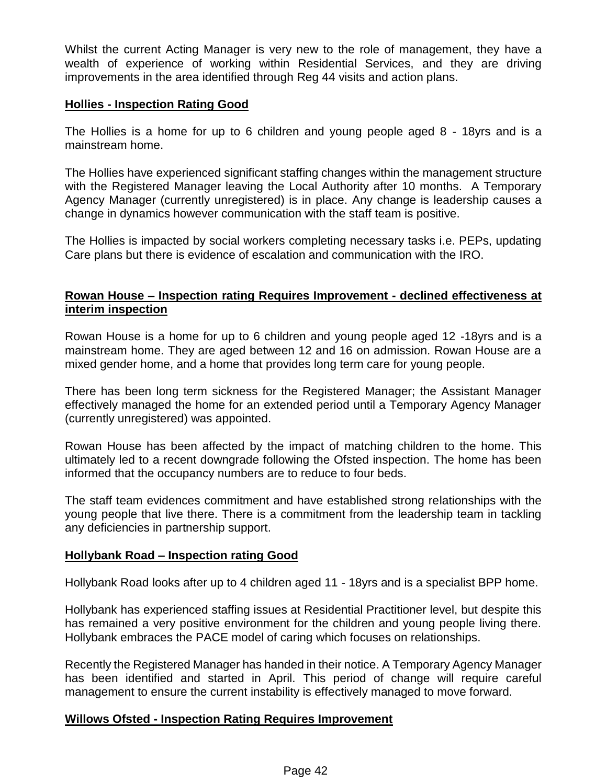Whilst the current Acting Manager is very new to the role of management, they have a wealth of experience of working within Residential Services, and they are driving improvements in the area identified through Reg 44 visits and action plans.

#### **Hollies - Inspection Rating Good**

The Hollies is a home for up to 6 children and young people aged 8 - 18yrs and is a mainstream home.

The Hollies have experienced significant staffing changes within the management structure with the Registered Manager leaving the Local Authority after 10 months. A Temporary Agency Manager (currently unregistered) is in place. Any change is leadership causes a change in dynamics however communication with the staff team is positive.

The Hollies is impacted by social workers completing necessary tasks i.e. PEPs, updating Care plans but there is evidence of escalation and communication with the IRO.

#### **Rowan House – Inspection rating Requires Improvement - declined effectiveness at interim inspection**

Rowan House is a home for up to 6 children and young people aged 12 -18yrs and is a mainstream home. They are aged between 12 and 16 on admission. Rowan House are a mixed gender home, and a home that provides long term care for young people.

There has been long term sickness for the Registered Manager; the Assistant Manager effectively managed the home for an extended period until a Temporary Agency Manager (currently unregistered) was appointed.

Rowan House has been affected by the impact of matching children to the home. This ultimately led to a recent downgrade following the Ofsted inspection. The home has been informed that the occupancy numbers are to reduce to four beds.

The staff team evidences commitment and have established strong relationships with the young people that live there. There is a commitment from the leadership team in tackling any deficiencies in partnership support.

#### **Hollybank Road – Inspection rating Good**

Hollybank Road looks after up to 4 children aged 11 - 18yrs and is a specialist BPP home.

Hollybank has experienced staffing issues at Residential Practitioner level, but despite this has remained a very positive environment for the children and young people living there. Hollybank embraces the PACE model of caring which focuses on relationships.

Recently the Registered Manager has handed in their notice. A Temporary Agency Manager has been identified and started in April. This period of change will require careful management to ensure the current instability is effectively managed to move forward.

#### **Willows Ofsted - Inspection Rating Requires Improvement**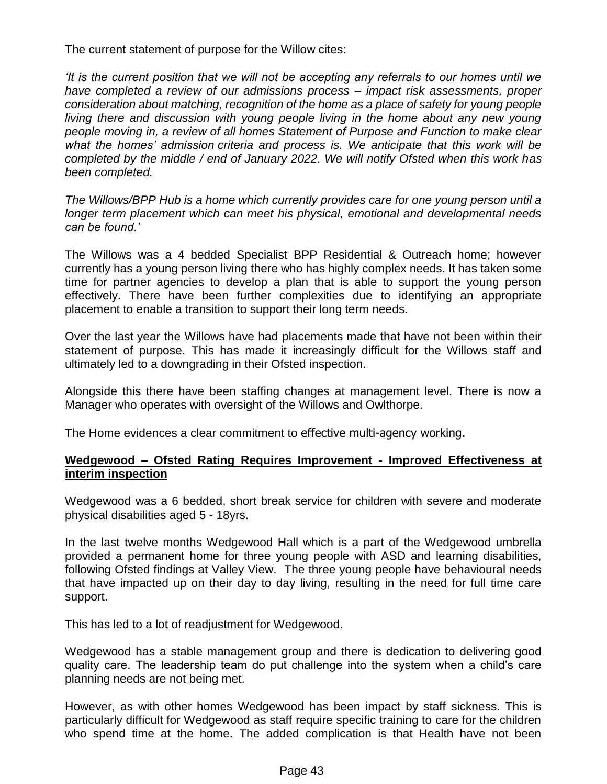The current statement of purpose for the Willow cites:

*'It is the current position that we will not be accepting any referrals to our homes until we have completed a review of our admissions process – impact risk assessments, proper consideration about matching, recognition of the home as a place of safety for young people living there and discussion with young people living in the home about any new young people moving in, a review of all homes Statement of Purpose and Function to make clear what the homes' admission criteria and process is. We anticipate that this work will be completed by the middle / end of January 2022. We will notify Ofsted when this work has been completed.*

*The Willows/BPP Hub is a home which currently provides care for one young person until a longer term placement which can meet his physical, emotional and developmental needs can be found.'*

The Willows was a 4 bedded Specialist BPP Residential & Outreach home; however currently has a young person living there who has highly complex needs. It has taken some time for partner agencies to develop a plan that is able to support the young person effectively. There have been further complexities due to identifying an appropriate placement to enable a transition to support their long term needs.

Over the last year the Willows have had placements made that have not been within their statement of purpose. This has made it increasingly difficult for the Willows staff and ultimately led to a downgrading in their Ofsted inspection.

Alongside this there have been staffing changes at management level. There is now a Manager who operates with oversight of the Willows and Owlthorpe.

The Home evidences a clear commitment to effective multi-agency working.

#### **Wedgewood – Ofsted Rating Requires Improvement - Improved Effectiveness at interim inspection**

Wedgewood was a 6 bedded, short break service for children with severe and moderate physical disabilities aged 5 - 18yrs.

In the last twelve months Wedgewood Hall which is a part of the Wedgewood umbrella provided a permanent home for three young people with ASD and learning disabilities, following Ofsted findings at Valley View. The three young people have behavioural needs that have impacted up on their day to day living, resulting in the need for full time care support.

This has led to a lot of readjustment for Wedgewood.

Wedgewood has a stable management group and there is dedication to delivering good quality care. The leadership team do put challenge into the system when a child's care planning needs are not being met.

However, as with other homes Wedgewood has been impact by staff sickness. This is particularly difficult for Wedgewood as staff require specific training to care for the children who spend time at the home. The added complication is that Health have not been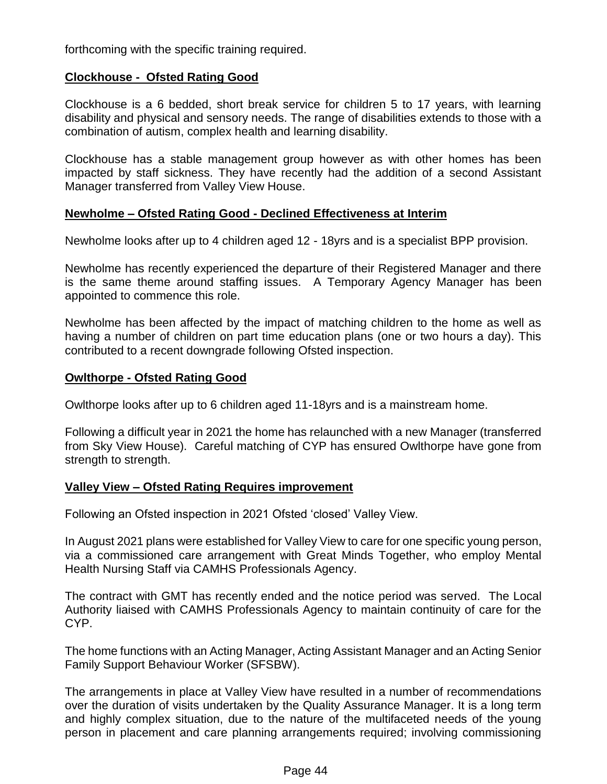forthcoming with the specific training required.

#### **Clockhouse - Ofsted Rating Good**

Clockhouse is a 6 bedded, short break service for children 5 to 17 years, with learning disability and physical and sensory needs. The range of disabilities extends to those with a combination of autism, complex health and learning disability.

Clockhouse has a stable management group however as with other homes has been impacted by staff sickness. They have recently had the addition of a second Assistant Manager transferred from Valley View House.

#### **Newholme – Ofsted Rating Good - Declined Effectiveness at Interim**

Newholme looks after up to 4 children aged 12 - 18yrs and is a specialist BPP provision.

Newholme has recently experienced the departure of their Registered Manager and there is the same theme around staffing issues. A Temporary Agency Manager has been appointed to commence this role.

Newholme has been affected by the impact of matching children to the home as well as having a number of children on part time education plans (one or two hours a day). This contributed to a recent downgrade following Ofsted inspection.

#### **Owlthorpe - Ofsted Rating Good**

Owlthorpe looks after up to 6 children aged 11-18yrs and is a mainstream home.

Following a difficult year in 2021 the home has relaunched with a new Manager (transferred from Sky View House). Careful matching of CYP has ensured Owlthorpe have gone from strength to strength.

#### **Valley View – Ofsted Rating Requires improvement**

Following an Ofsted inspection in 2021 Ofsted 'closed' Valley View.

In August 2021 plans were established for Valley View to care for one specific young person, via a commissioned care arrangement with Great Minds Together, who employ Mental Health Nursing Staff via CAMHS Professionals Agency.

The contract with GMT has recently ended and the notice period was served. The Local Authority liaised with CAMHS Professionals Agency to maintain continuity of care for the CYP.

The home functions with an Acting Manager, Acting Assistant Manager and an Acting Senior Family Support Behaviour Worker (SFSBW).

The arrangements in place at Valley View have resulted in a number of recommendations over the duration of visits undertaken by the Quality Assurance Manager. It is a long term and highly complex situation, due to the nature of the multifaceted needs of the young person in placement and care planning arrangements required; involving commissioning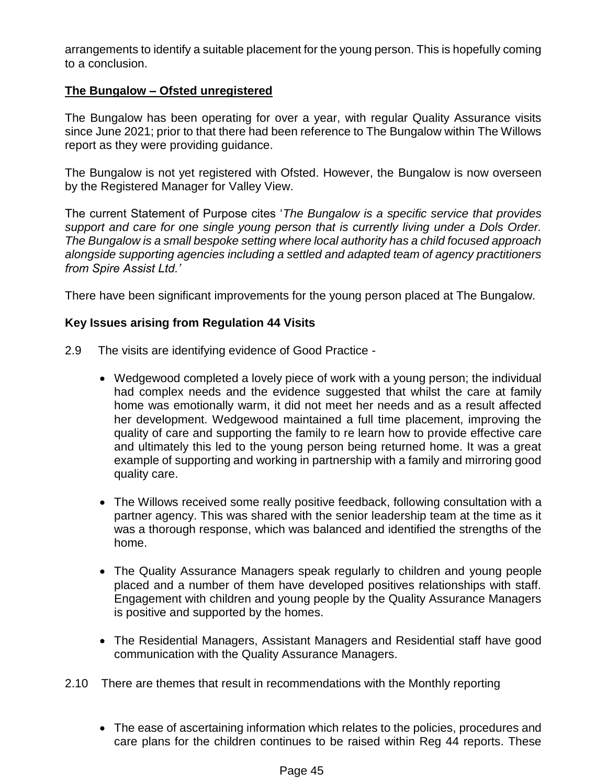arrangements to identify a suitable placement for the young person. This is hopefully coming to a conclusion.

#### **The Bungalow – Ofsted unregistered**

The Bungalow has been operating for over a year, with regular Quality Assurance visits since June 2021; prior to that there had been reference to The Bungalow within The Willows report as they were providing guidance.

The Bungalow is not yet registered with Ofsted. However, the Bungalow is now overseen by the Registered Manager for Valley View.

The current Statement of Purpose cites '*The Bungalow is a specific service that provides support and care for one single young person that is currently living under a Dols Order. The Bungalow is a small bespoke setting where local authority has a child focused approach alongside supporting agencies including a settled and adapted team of agency practitioners from Spire Assist Ltd.'*

There have been significant improvements for the young person placed at The Bungalow.

#### **Key Issues arising from Regulation 44 Visits**

- 2.9 The visits are identifying evidence of Good Practice
	- Wedgewood completed a lovely piece of work with a young person; the individual had complex needs and the evidence suggested that whilst the care at family home was emotionally warm, it did not meet her needs and as a result affected her development. Wedgewood maintained a full time placement, improving the quality of care and supporting the family to re learn how to provide effective care and ultimately this led to the young person being returned home. It was a great example of supporting and working in partnership with a family and mirroring good quality care.
	- The Willows received some really positive feedback, following consultation with a partner agency. This was shared with the senior leadership team at the time as it was a thorough response, which was balanced and identified the strengths of the home.
	- The Quality Assurance Managers speak regularly to children and young people placed and a number of them have developed positives relationships with staff. Engagement with children and young people by the Quality Assurance Managers is positive and supported by the homes.
	- The Residential Managers, Assistant Managers and Residential staff have good communication with the Quality Assurance Managers.
- 2.10 There are themes that result in recommendations with the Monthly reporting
	- The ease of ascertaining information which relates to the policies, procedures and care plans for the children continues to be raised within Reg 44 reports. These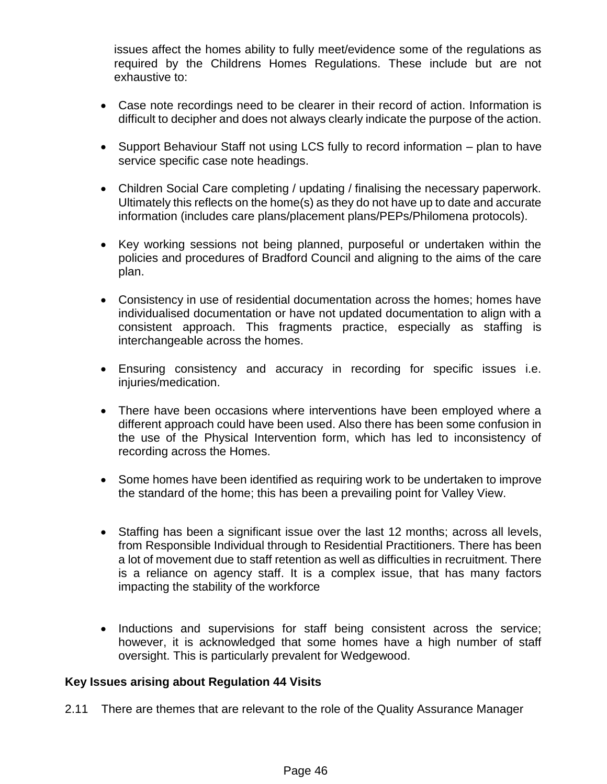issues affect the homes ability to fully meet/evidence some of the regulations as required by the Childrens Homes Regulations. These include but are not exhaustive to:

- Case note recordings need to be clearer in their record of action. Information is difficult to decipher and does not always clearly indicate the purpose of the action.
- Support Behaviour Staff not using LCS fully to record information plan to have service specific case note headings.
- Children Social Care completing / updating / finalising the necessary paperwork. Ultimately this reflects on the home(s) as they do not have up to date and accurate information (includes care plans/placement plans/PEPs/Philomena protocols).
- Key working sessions not being planned, purposeful or undertaken within the policies and procedures of Bradford Council and aligning to the aims of the care plan.
- Consistency in use of residential documentation across the homes; homes have individualised documentation or have not updated documentation to align with a consistent approach. This fragments practice, especially as staffing is interchangeable across the homes.
- Ensuring consistency and accuracy in recording for specific issues i.e. injuries/medication.
- There have been occasions where interventions have been employed where a different approach could have been used. Also there has been some confusion in the use of the Physical Intervention form, which has led to inconsistency of recording across the Homes.
- Some homes have been identified as requiring work to be undertaken to improve the standard of the home; this has been a prevailing point for Valley View.
- Staffing has been a significant issue over the last 12 months; across all levels, from Responsible Individual through to Residential Practitioners. There has been a lot of movement due to staff retention as well as difficulties in recruitment. There is a reliance on agency staff. It is a complex issue, that has many factors impacting the stability of the workforce
- Inductions and supervisions for staff being consistent across the service; however, it is acknowledged that some homes have a high number of staff oversight. This is particularly prevalent for Wedgewood.

## **Key Issues arising about Regulation 44 Visits**

2.11 There are themes that are relevant to the role of the Quality Assurance Manager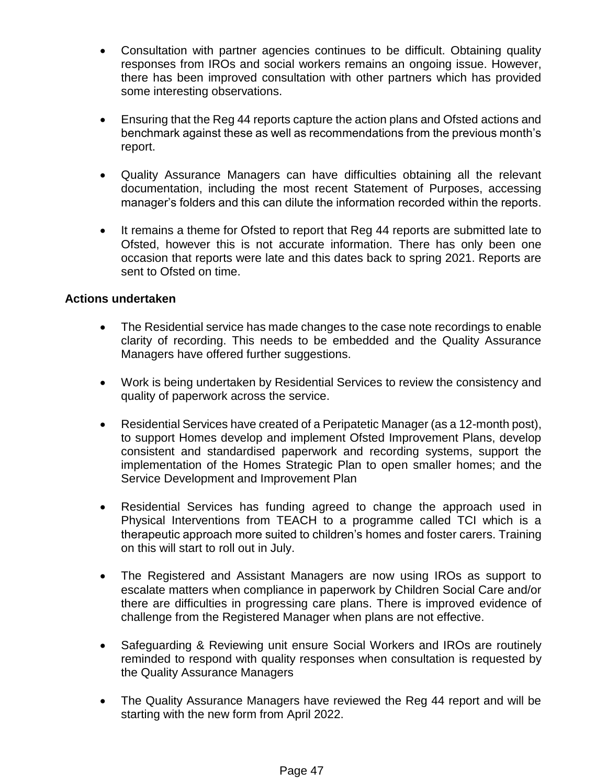- Consultation with partner agencies continues to be difficult. Obtaining quality responses from IROs and social workers remains an ongoing issue. However, there has been improved consultation with other partners which has provided some interesting observations.
- Ensuring that the Reg 44 reports capture the action plans and Ofsted actions and benchmark against these as well as recommendations from the previous month's report.
- Quality Assurance Managers can have difficulties obtaining all the relevant documentation, including the most recent Statement of Purposes, accessing manager's folders and this can dilute the information recorded within the reports.
- It remains a theme for Ofsted to report that Reg 44 reports are submitted late to Ofsted, however this is not accurate information. There has only been one occasion that reports were late and this dates back to spring 2021. Reports are sent to Ofsted on time.

#### **Actions undertaken**

- The Residential service has made changes to the case note recordings to enable clarity of recording. This needs to be embedded and the Quality Assurance Managers have offered further suggestions.
- Work is being undertaken by Residential Services to review the consistency and quality of paperwork across the service.
- Residential Services have created of a Peripatetic Manager (as a 12-month post), to support Homes develop and implement Ofsted Improvement Plans, develop consistent and standardised paperwork and recording systems, support the implementation of the Homes Strategic Plan to open smaller homes; and the Service Development and Improvement Plan
- Residential Services has funding agreed to change the approach used in Physical Interventions from TEACH to a programme called TCI which is a therapeutic approach more suited to children's homes and foster carers. Training on this will start to roll out in July.
- The Registered and Assistant Managers are now using IROs as support to escalate matters when compliance in paperwork by Children Social Care and/or there are difficulties in progressing care plans. There is improved evidence of challenge from the Registered Manager when plans are not effective.
- Safeguarding & Reviewing unit ensure Social Workers and IROs are routinely reminded to respond with quality responses when consultation is requested by the Quality Assurance Managers
- The Quality Assurance Managers have reviewed the Reg 44 report and will be starting with the new form from April 2022.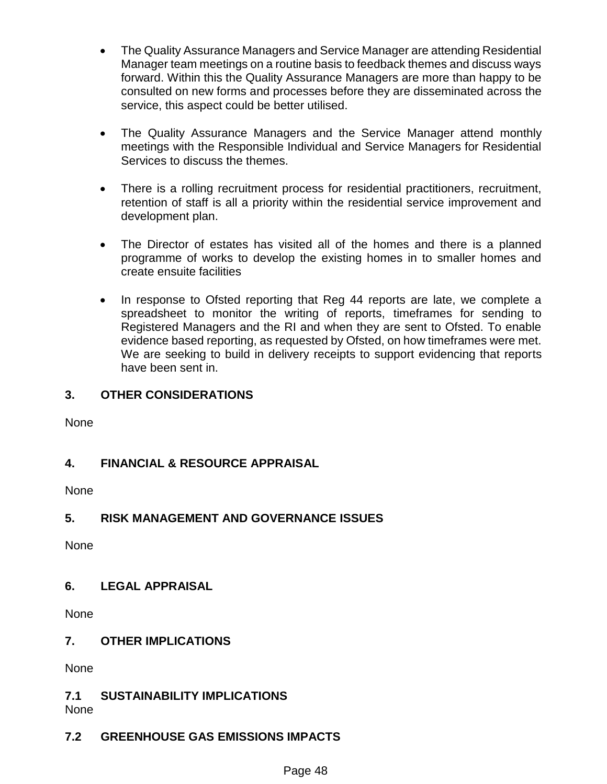- The Quality Assurance Managers and Service Manager are attending Residential Manager team meetings on a routine basis to feedback themes and discuss ways forward. Within this the Quality Assurance Managers are more than happy to be consulted on new forms and processes before they are disseminated across the service, this aspect could be better utilised.
- The Quality Assurance Managers and the Service Manager attend monthly meetings with the Responsible Individual and Service Managers for Residential Services to discuss the themes.
- There is a rolling recruitment process for residential practitioners, recruitment, retention of staff is all a priority within the residential service improvement and development plan.
- The Director of estates has visited all of the homes and there is a planned programme of works to develop the existing homes in to smaller homes and create ensuite facilities
- In response to Ofsted reporting that Reg 44 reports are late, we complete a spreadsheet to monitor the writing of reports, timeframes for sending to Registered Managers and the RI and when they are sent to Ofsted. To enable evidence based reporting, as requested by Ofsted, on how timeframes were met. We are seeking to build in delivery receipts to support evidencing that reports have been sent in.

## **3. OTHER CONSIDERATIONS**

None

## **4. FINANCIAL & RESOURCE APPRAISAL**

None

## **5. RISK MANAGEMENT AND GOVERNANCE ISSUES**

None

#### **6. LEGAL APPRAISAL**

None

## **7. OTHER IMPLICATIONS**

None

## **7.1 SUSTAINABILITY IMPLICATIONS**

None

## **7.2 GREENHOUSE GAS EMISSIONS IMPACTS**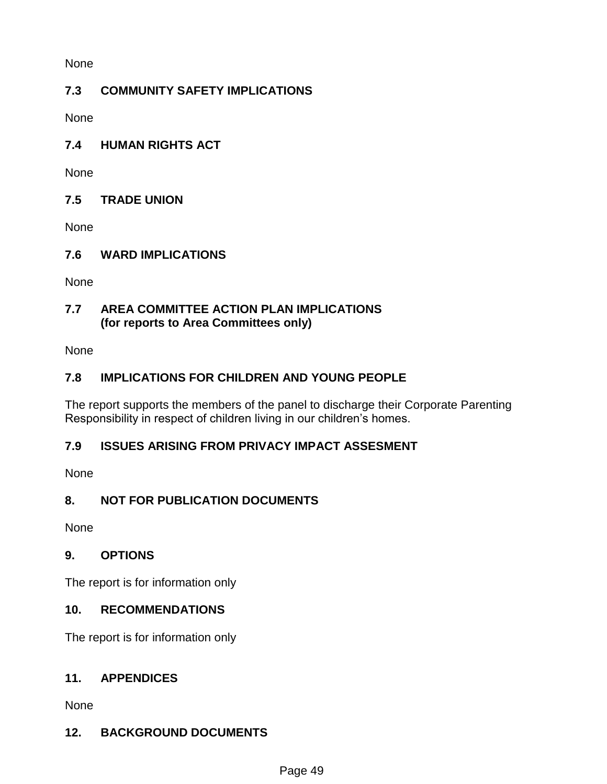None

## **7.3 COMMUNITY SAFETY IMPLICATIONS**

None

**7.4 HUMAN RIGHTS ACT**

None

## **7.5 TRADE UNION**

None

## **7.6 WARD IMPLICATIONS**

None

## **7.7 AREA COMMITTEE ACTION PLAN IMPLICATIONS (for reports to Area Committees only)**

None

## **7.8 IMPLICATIONS FOR CHILDREN AND YOUNG PEOPLE**

The report supports the members of the panel to discharge their Corporate Parenting Responsibility in respect of children living in our children's homes.

## **7.9 ISSUES ARISING FROM PRIVACY IMPACT ASSESMENT**

None

## **8. NOT FOR PUBLICATION DOCUMENTS**

None

## **9. OPTIONS**

The report is for information only

## **10. RECOMMENDATIONS**

The report is for information only

## **11. APPENDICES**

None

## **12. BACKGROUND DOCUMENTS**